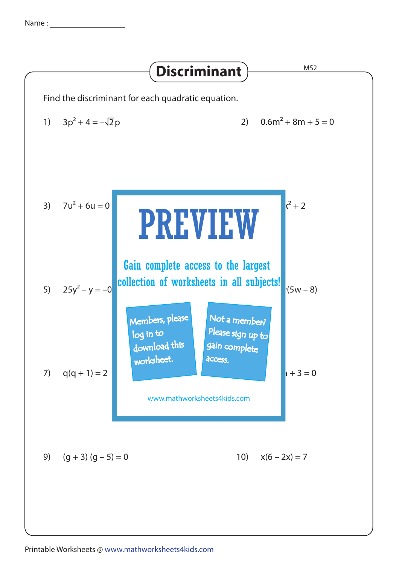Name :